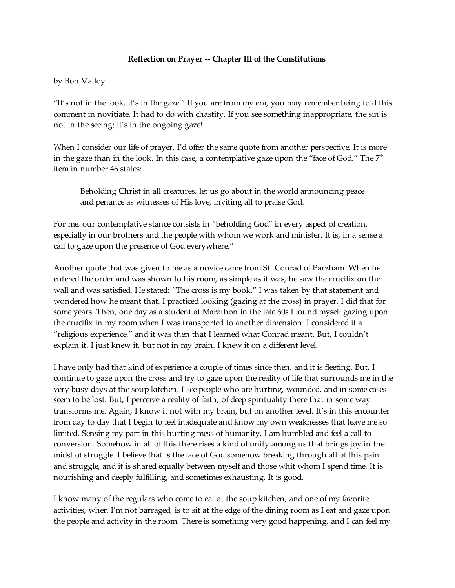## **Reflection on Prayer -- Chapter III of the Constitutions**

by Bob Malloy

"It's not in the look, it's in the gaze." If you are from my era, you may remember being told this comment in novitiate. It had to do with chastity. If you see something inappropriate, the sin is not in the seeing; it's in the ongoing gaze!

When I consider our life of prayer, I'd offer the same quote from another perspective. It is more in the gaze than in the look. In this case, a contemplative gaze upon the "face of God." The  $7^{\rm th}$ item in number 46 states:

Beholding Christ in all creatures, let us go about in the world announcing peace and penance as witnesses of His love, inviting all to praise God.

For me, our contemplative stance consists in "beholding God" in every aspect of creation, especially in our brothers and the people with whom we work and minister. It is, in a sense a call to gaze upon the presence of God everywhere."

Another quote that was given to me as a novice came from St. Conrad of Parzham. When he entered the order and was shown to his room, as simple as it was, he saw the crucifix on the wall and was satisfied. He stated: "The cross is my book." I was taken by that statement and wondered how he meant that. I practiced looking (gazing at the cross) in prayer. I did that for some years. Then, one day as a student at Marathon in the late 60s I found myself gazing upon the crucifix in my room when I was transported to another dimension. I considered it a "religious experience," and it was then that I learned what Conrad meant. But, I couldn't explain it. I just knew it, but not in my brain. I knew it on a different level.

I have only had that kind of experience a couple of times since then, and it is fleeting. But, I continue to gaze upon the cross and try to gaze upon the reality of life that surrounds me in the very busy days at the soup kitchen. I see people who are hurting, wounded, and in some cases seem to be lost. But, I perceive a reality of faith, of deep spirituality there that in some way transforms me. Again, I know it not with my brain, but on another level. It's in this encounter from day to day that I begin to feel inadequate and know my own weaknesses that leave me so limited. Sensing my part in this hurting mess of humanity, I am humbled and feel a call to conversion. Somehow in all of this there rises a kind of unity among us that brings joy in the midst of struggle. I believe that is the face of God somehow breaking through all of this pain and struggle, and it is shared equally between myself and those whit whom I spend time. It is nourishing and deeply fulfilling, and sometimes exhausting. It is good.

I know many of the regulars who come to eat at the soup kitchen, and one of my favorite activities, when I'm not barraged, is to sit at the edge of the dining room as I eat and gaze upon the people and activity in the room. There is something very good happening, and I can feel my